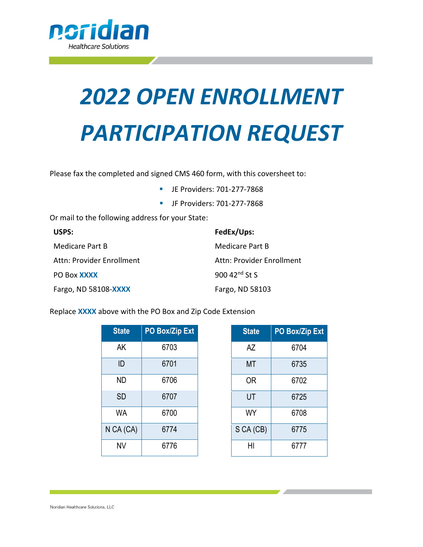

# *2022 OPEN ENROLLMENT PARTICIPATION REQUEST*

Please fax the completed and signed CMS 460 form, with this coversheet to:

- JE Providers: 701-277-7868
- JF Providers: 701-277-7868

Or mail to the following address for your State:

| USPS:                     | FedEx/Ups:                |
|---------------------------|---------------------------|
| Medicare Part B           | Medicare Part B           |
| Attn: Provider Enrollment | Attn: Provider Enrollment |
| PO Box <b>XXXX</b>        | 900 42 $^{nd}$ St S       |
| Fargo, ND 58108-XXXX      | Fargo, ND 58103           |

Replace **XXXX** above with the PO Box and Zip Code Extension

| <b>State</b> | <b>PO Box/Zip Ext</b> |  |
|--------------|-----------------------|--|
| AK           | 6703                  |  |
| ID           | 6701                  |  |
| ND           | 6706                  |  |
| <b>SD</b>    | 6707                  |  |
| WA           | 6700                  |  |
| N CA (CA)    | 6774                  |  |
| ΝV           | 6776                  |  |

| <b>State</b> | <b>PO Box/Zip Ext</b> |  |
|--------------|-----------------------|--|
| AZ           | 6704                  |  |
| МT           | 6735                  |  |
| 0R           | 6702                  |  |
| UT           | 6725                  |  |
| WY           | 6708                  |  |
| S CA (CB)    | 6775                  |  |
| HI           | 6777                  |  |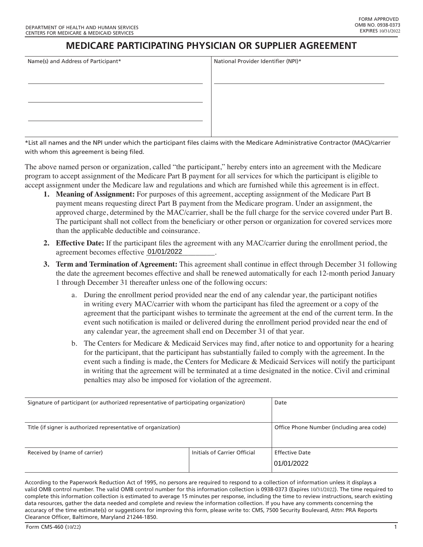### **MEDICARE PARTICIPATING PHYSICIAN OR SUPPLIER AGREEMENT**

National Provider Identifier (NPI)\*

| Name(s) and Address of Participant* |  |
|-------------------------------------|--|
|                                     |  |
|                                     |  |
|                                     |  |
|                                     |  |
|                                     |  |
|                                     |  |

\*List all names and the NPI under which the participant fles claims with the Medicare Administrative Contractor (MAC)/carrier with whom this agreement is being filed.

The above named person or organization, called "the participant," hereby enters into an agreement with the Medicare program to accept assignment of the Medicare Part B payment for all services for which the participant is eligible to accept assignment under the Medicare law and regulations and which are furnished while this agreement is in effect.

- **1. Meaning of Assignment:** For purposes of this agreement, accepting assignment of the Medicare Part B payment means requesting direct Part B payment from the Medicare program. Under an assignment, the approved charge, determined by the MAC/carrier, shall be the full charge for the service covered under Part B. The participant shall not collect from the beneficiary or other person or organization for covered services more than the applicable deductible and coinsurance.
- **2. Effective Date:** If the participant files the agreement with any MAC/carrier during the enrollment period, the agreement becomes effective \_\_\_\_\_\_\_\_\_\_\_\_\_\_\_\_\_\_. 01/01/2022
- **3. Term and Termination of Agreement:** This agreement shall continue in effect through December 31 following the date the agreement becomes effective and shall be renewed automatically for each 12-month period January 1 through December 31 thereafter unless one of the following occurs:
	- a. During the enrollment period provided near the end of any calendar year, the participant notifies in writing every MAC/carrier with whom the participant has filed the agreement or a copy of the agreement that the participant wishes to terminate the agreement at the end of the current term. In the event such notification is mailed or delivered during the enrollment period provided near the end of any calendar year, the agreement shall end on December 31 of that year.
	- b. The Centers for Medicare & Medicaid Services may find, after notice to and opportunity for a hearing for the participant, that the participant has substantially failed to comply with the agreement. In the event such a finding is made, the Centers for Medicare & Medicaid Services will notify the participant in writing that the agreement will be terminated at a time designated in the notice. Civil and criminal penalties may also be imposed for violation of the agreement.

| Signature of participant (or authorized representative of participating organization) |                              | Date                                      |
|---------------------------------------------------------------------------------------|------------------------------|-------------------------------------------|
| Title (if signer is authorized representative of organization)                        |                              | Office Phone Number (including area code) |
| Received by (name of carrier)                                                         | Initials of Carrier Official | <b>Effective Date</b><br>01/01/2022       |

According to the Paperwork Reduction Act of 1995, no persons are required to respond to a collection of information unless it displays a valid OMB control number. The valid OMB control number for this information collection is 0938-0373 (Expires 10/31/2022). The time required to complete this information collection is estimated to average 15 minutes per response, including the time to review instructions, search existing data resources, gather the data needed and complete and review the information collection. If you have any comments concerning the accuracy of the time estimate(s) or suggestions for improving this form, please write to: CMS, 7500 Security Boulevard, Attn: PRA Reports Clearance Officer, Baltimore, Maryland 21244-1850.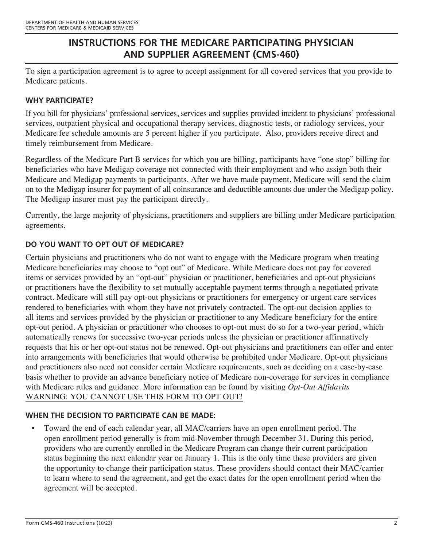## **INSTRUCTIONS FOR THE MEDICARE PARTICIPATING PHYSICIAN AND SUPPLIER AGREEMENT (CMS-460)**

To sign a participation agreement is to agree to accept assignment for all covered services that you provide to Medicare patients.

#### **WHY PARTICIPATE?**

If you bill for physicians' professional services, services and supplies provided incident to physicians' professional services, outpatient physical and occupational therapy services, diagnostic tests, or radiology services, your Medicare fee schedule amounts are 5 percent higher if you participate. Also, providers receive direct and timely reimbursement from Medicare.

 on to the Medigap insurer for payment of all coinsurance and deductible amounts due under the Medigap policy. Regardless of the Medicare Part B services for which you are billing, participants have "one stop" billing for beneficiaries who have Medigap coverage not connected with their employment and who assign both their Medicare and Medigap payments to participants. After we have made payment, Medicare will send the claim The Medigap insurer must pay the participant directly.

Currently, the large majority of physicians, practitioners and suppliers are billing under Medicare participation agreements.

#### **DO YOU WANT TO OPT OUT OF MEDICARE?**

 with Medicare rules and guidance. More information can be found by visiting *[Opt-Out Affidavits](https://www.cms.gov/Medicare/Provider-Enrollment-and-Certification/MedicareProviderSupEnroll/OptOutAffidavits.html)* Certain physicians and practitioners who do not want to engage with the Medicare program when treating Medicare beneficiaries may choose to "opt out" of Medicare. While Medicare does not pay for covered items or services provided by an "opt-out" physician or practitioner, beneficiaries and opt-out physicians or practitioners have the flexibility to set mutually acceptable payment terms through a negotiated private contract. Medicare will still pay opt-out physicians or practitioners for emergency or urgent care services rendered to beneficiaries with whom they have not privately contracted. The opt-out decision applies to all items and services provided by the physician or practitioner to any Medicare beneficiary for the entire opt-out period. A physician or practitioner who chooses to opt-out must do so for a two-year period, which automatically renews for successive two-year periods unless the physician or practitioner affirmatively requests that his or her opt-out status not be renewed. Opt-out physicians and practitioners can offer and enter into arrangements with beneficiaries that would otherwise be prohibited under Medicare. Opt-out physicians and practitioners also need not consider certain Medicare requirements, such as deciding on a case-by-case basis whether to provide an advance beneficiary notice of Medicare non-coverage for services in compliance WARNING: YOU CANNOT USE THIS FORM TO OPT OUT!

#### **WHEN THE DECISION TO PARTICIPATE CAN BE MADE:**

• Toward the end of each calendar year, all MAC/carriers have an open enrollment period. The open enrollment period generally is from mid-November through December 31. During this period, providers who are currently enrolled in the Medicare Program can change their current participation status beginning the next calendar year on January 1. This is the only time these providers are given the opportunity to change their participation status. These providers should contact their MAC/carrier to learn where to send the agreement, and get the exact dates for the open enrollment period when the agreement will be accepted.